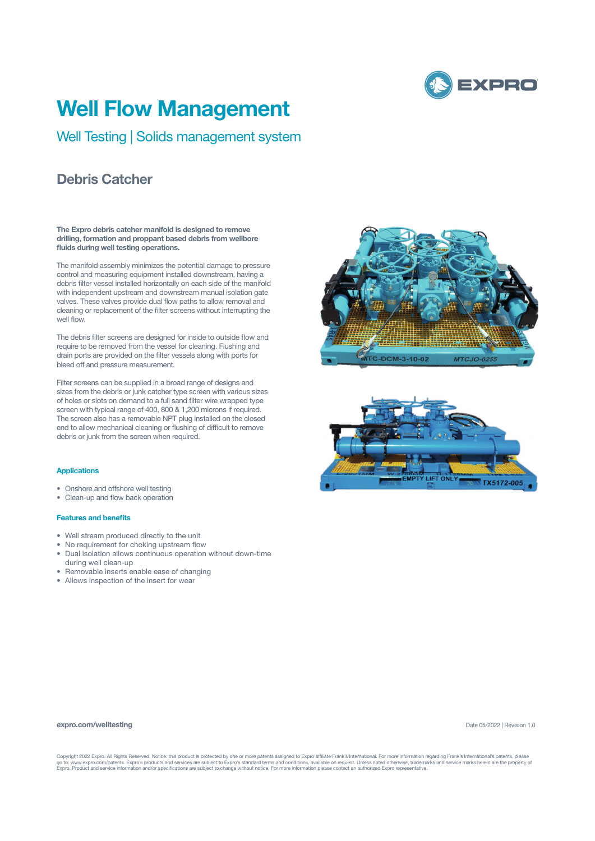

## **Well Flow Management**

Well Testing | Solids management system

## **Debris Catcher**

**The Expro debris catcher manifold is designed to remove drilling, formation and proppant based debris from wellbore fluids during well testing operations.** 

The manifold assembly minimizes the potential damage to pressure control and measuring equipment installed downstream, having a debris filter vessel installed horizontally on each side of the manifold with independent upstream and downstream manual isolation gate valves. These valves provide dual flow paths to allow removal and cleaning or replacement of the filter screens without interrupting the well flow.

The debris filter screens are designed for inside to outside flow and require to be removed from the vessel for cleaning. Flushing and drain ports are provided on the filter vessels along with ports for bleed off and pressure measurement.

Filter screens can be supplied in a broad range of designs and sizes from the debris or junk catcher type screen with various sizes of holes or slots on demand to a full sand filter wire wrapped type screen with typical range of 400, 800 & 1,200 microns if required. The screen also has a removable NPT plug installed on the closed end to allow mechanical cleaning or flushing of difficult to remove debris or junk from the screen when required.

#### **Applications**

- Onshore and offshore well testing
- Clean-up and flow back operation

#### **Features and benefits**

- Well stream produced directly to the unit
- No requirement for choking upstream flow
- Dual isolation allows continuous operation without down-time
- during well clean-up
- Removable inserts enable ease of changing
- Allows inspection of the insert for wear





#### **expro.com/welltesting**

Date 05/2022 | Revision 1.0

Copyright 2022 Expro. All Rights Reserved. Notice: this product is protected by one or more patents assigned to Expro affiliate Frank's International. For more information regarding Frank's International's patents, please<br>